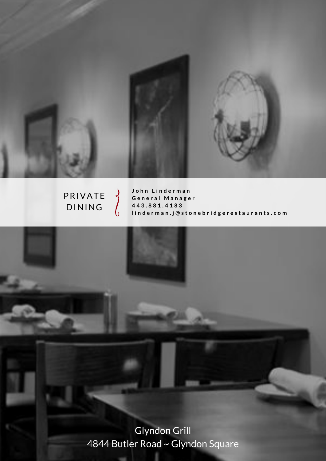

# PRIVATE **DINING**

John Linderman **G e n e r a l M a n a g e r 4 4 3 . 8 8 1 . 4 1 8 3 l i n d e r m a n . j @ s t o n e b r i d g e r e s t a u r a n t s . c o m** 

Glyndon Grill 4844 Butler Road ~ Glyndon Square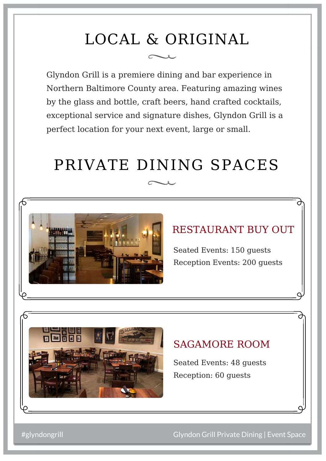# LOCAL & ORIGINAL

Glyndon Grill is a premiere dining and bar experience in Northern Baltimore County area. Featuring amazing wines by the glass and bottle, craft beers, hand crafted cocktails, exceptional service and signature dishes, Glyndon Grill is a perfect location for your next event, large or small.

# PRIVATE DINING SPACES



# RESTAURANT BUY OUT

Seated Events: 150 guests Reception Events: 200 guests



# SAGAMORE ROOM

Seated Events: 48 guests Reception: 60 guests

#glyndongrill Glyndon Grill Private Dining | Event Space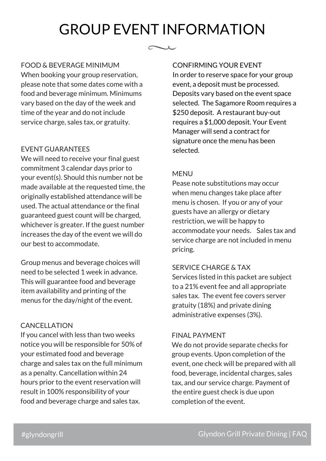# GROUP EVENT INFORMATION

 $\sim$   $\sim$ 

#### FOOD & BEVERAGE MINIMUM

When booking your group reservation, please note that some dates come with a food and beverage minimum. Minimums vary based on the day of the week and time of the year and do not include service charge, sales tax, or gratuity.

#### EVENT GUARANTEES

We will need to receive your final guest commitment 3 calendar days prior to your event(s). Should this number not be made available at the requested time, the originally established attendance will be used. The actual attendance or the final guaranteed guest count will be charged, whichever is greater. If the guest number increases the day of the event we will do our best to accommodate.

Group menus and beverage choices will need to be selected 1 week in advance. This will guarantee food and beverage item availability and printing of the menus for the day/night of the event.

#### CANCELLATION

If you cancel with less than two weeks notice you will be responsible for 50% of your estimated food and beverage charge and sales tax on the full minimum as a penalty. Cancellation within 24 hours prior to the event reservation will result in 100% responsibility of your food and beverage charge and sales tax.

#### CONFIRMING YOUR EVENT

In order to reserve space for your group event, a deposit must be processed. Deposits vary based on the event space selected. The Sagamore Room requires a \$250 deposit. A restaurant buy-out requires a \$1,000 deposit. Your Event Manager will send a contract for signature once the menu has been selected.

#### MENU

Pease note substitutions may occur when menu changes take place after menu is chosen. If you or any of your guests have an allergy or dietary restriction, we will be happy to accommodate your needs. Sales tax and service charge are not included in menu pricing.

#### SERVICE CHARGE & TAX

Services listed in this packet are subject to a 21% event fee and all appropriate sales tax. The event fee covers server gratuity (18%) and private dining administrative expenses (3%).

#### FINAL PAYMENT

We do not provide separate checks for group events. Upon completion of the event, one check will be prepared with all food, beverage, incidental charges, sales tax, and our service charge. Payment of the entire guest check is due upon completion of the event.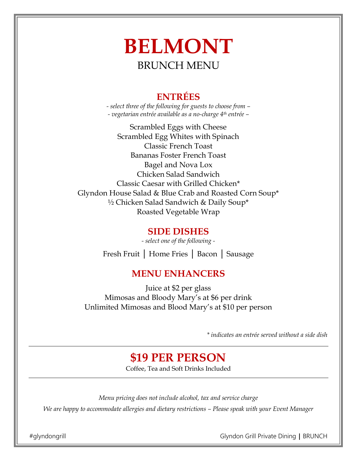# **BELMONT**  BRUNCH MENU

## **ENTRÉES**

*- select three of the following for guests to choose from – - vegetarian entrée available as a no-charge 4th entrée –*

Scrambled Eggs with Cheese Scrambled Egg Whites with Spinach Classic French Toast Bananas Foster French Toast Bagel and Nova Lox Chicken Salad Sandwich Classic Caesar with Grilled Chicken\* Glyndon House Salad & Blue Crab and Roasted Corn Soup\* ½ Chicken Salad Sandwich & Daily Soup\* Roasted Vegetable Wrap

#### **SIDE DISHES**

*- select one of the following -*  Fresh Fruit │ Home Fries │ Bacon │ Sausage

## **MENU ENHANCERS**

Juice at \$2 per glass Mimosas and Bloody Mary's at \$6 per drink Unlimited Mimosas and Blood Mary's at \$10 per person

*\* indicates an entrée served without a side dish*

# **\$19 PER PERSON**

Coffee, Tea and Soft Drinks Included

*Menu pricing does not include alcohol, tax and service charge* 

*We are happy to accommodate allergies and dietary restrictions – Please speak with your Event Manager* 

#glyndongrill Glyndon Grill Private Dining │ BRUNCH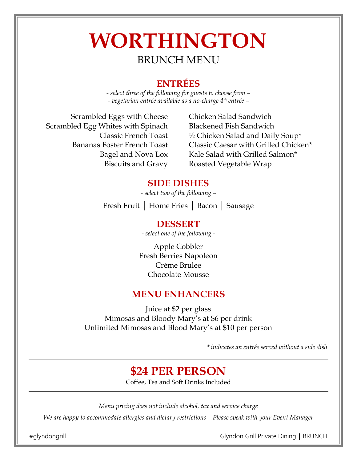# **WORTHINGTON**  BRUNCH MENU

#### **ENTRÉES**

*- select three of the following for guests to choose from – - vegetarian entrée available as a no-charge 4th entrée –*

Scrambled Eggs with Cheese Scrambled Egg Whites with Spinach Classic French Toast Bananas Foster French Toast Bagel and Nova Lox Biscuits and Gravy

Chicken Salad Sandwich Blackened Fish Sandwich ½ Chicken Salad and Daily Soup\* Classic Caesar with Grilled Chicken\* Kale Salad with Grilled Salmon\* Roasted Vegetable Wrap

#### **SIDE DISHES**

*- select two of the following –*

Fresh Fruit │ Home Fries │ Bacon │ Sausage

## **DESSERT**

*- select one of the following -* 

Apple Cobbler Fresh Berries Napoleon Crème Brulee Chocolate Mousse

#### **MENU ENHANCERS**

Juice at \$2 per glass Mimosas and Bloody Mary's at \$6 per drink Unlimited Mimosas and Blood Mary's at \$10 per person

*\* indicates an entrée served without a side dish*

# **\$24 PER PERSON**

Coffee, Tea and Soft Drinks Included

*Menu pricing does not include alcohol, tax and service charge* 

*We are happy to accommodate allergies and dietary restrictions – Please speak with your Event Manager* 

#glyndongrill Glyndon Grill Private Dining │ BRUNCH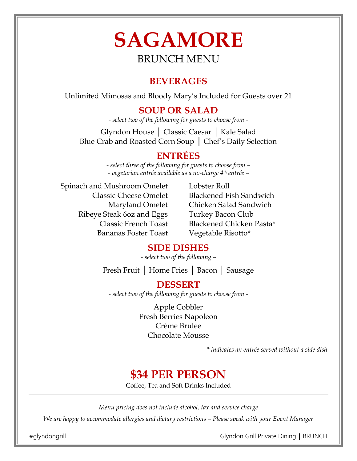# **SAGAMORE** BRUNCH MENU

## **BEVERAGES**

Unlimited Mimosas and Bloody Mary's Included for Guests over 21

## **SOUP OR SALAD**

*- select two of the following for guests to choose from -* 

Glyndon House │ Classic Caesar │ Kale Salad Blue Crab and Roasted Corn Soup │ Chef's Daily Selection

## **ENTRÉES**

*- select three of the following for guests to choose from – - vegetarian entrée available as a no-charge 4th entrée –*

Spinach and Mushroom Omelet Classic Cheese Omelet Maryland Omelet Ribeye Steak 6oz and Eggs Classic French Toast Bananas Foster Toast

Lobster Roll Blackened Fish Sandwich Chicken Salad Sandwich Turkey Bacon Club Blackened Chicken Pasta\* Vegetable Risotto\*

## **SIDE DISHES**

*- select two of the following –*

Fresh Fruit │ Home Fries │ Bacon │ Sausage

## **DESSERT**

*- select two of the following for guests to choose from -* 

Apple Cobbler Fresh Berries Napoleon Crème Brulee Chocolate Mousse

*\* indicates an entrée served without a side dish*

# **\$34 PER PERSON**

Coffee, Tea and Soft Drinks Included

*Menu pricing does not include alcohol, tax and service charge* 

*We are happy to accommodate allergies and dietary restrictions – Please speak with your Event Manager* 

#glyndongrill Glyndon Grill Private Dining │ BRUNCH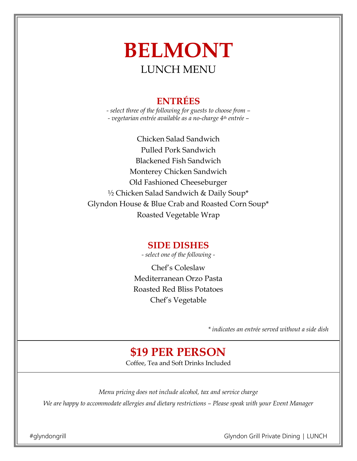# **BELMONT**  LUNCH MENU

## **ENTRÉES**

*- select three of the following for guests to choose from – - vegetarian entrée available as a no-charge 4th entrée –*

Chicken Salad Sandwich Pulled Pork Sandwich Blackened Fish Sandwich Monterey Chicken Sandwich Old Fashioned Cheeseburger ½ Chicken Salad Sandwich & Daily Soup\* Glyndon House & Blue Crab and Roasted Corn Soup\* Roasted Vegetable Wrap

#### **SIDE DISHES**

*- select one of the following -* 

Chef's Coleslaw Mediterranean Orzo Pasta Roasted Red Bliss Potatoes Chef's Vegetable

*\* indicates an entrée served without a side dish l*

# **\$19 PER PERSON**

Coffee, Tea and Soft Drinks Included

*Menu pricing does not include alcohol, tax and service charge We are happy to accommodate allergies and dietary restrictions – Please speak with your Event Manager* 

#glyndongrill Glyndon Grill Private Dining │ LUNCH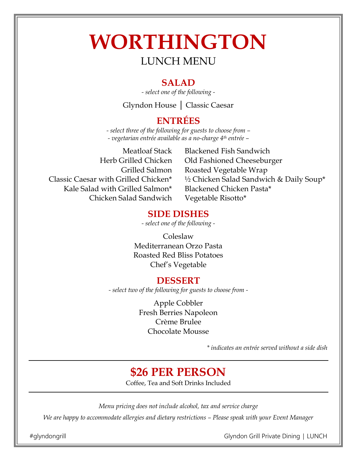# **WORTHINGTON** LUNCH MENU

#### **SALAD**

*- select one of the following -* 

Glyndon House │ Classic Caesar

### **ENTRÉES**

*- select three of the following for guests to choose from – - vegetarian entrée available as a no-charge 4th entrée –*

Meatloaf Stack Herb Grilled Chicken Grilled Salmon Classic Caesar with Grilled Chicken\* Kale Salad with Grilled Salmon\* Chicken Salad Sandwich

Blackened Fish Sandwich Old Fashioned Cheeseburger Roasted Vegetable Wrap ½ Chicken Salad Sandwich & Daily Soup\* Blackened Chicken Pasta\* Vegetable Risotto\*

#### **SIDE DISHES**

*- select one of the following -* 

Coleslaw Mediterranean Orzo Pasta Roasted Red Bliss Potatoes Chef's Vegetable

#### **DESSERT**

*- select two of the following for guests to choose from -* 

Apple Cobbler Fresh Berries Napoleon Crème Brulee Chocolate Mousse

*\* indicates an entrée served without a side dish*

# **\$26 PER PERSON**

Coffee, Tea and Soft Drinks Included

*Menu pricing does not include alcohol, tax and service charge* 

*We are happy to accommodate allergies and dietary restrictions – Please speak with your Event Manager* 

#glyndongrill Glyndon Grill Private Dining │ LUNCH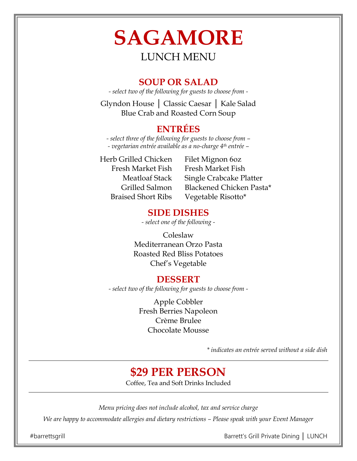# **SAGAMORE** LUNCH MENU

#### **SOUP OR SALAD**

*- select two of the following for guests to choose from -* 

Glyndon House │ Classic Caesar │ Kale Salad Blue Crab and Roasted Corn Soup

#### **ENTRÉES**

*- select three of the following for guests to choose from – - vegetarian entrée available as a no-charge 4th entrée –*

Herb Grilled Chicken Fresh Market Fish Meatloaf Stack Grilled Salmon Braised Short Ribs

Filet Mignon 6oz Fresh Market Fish Single Crabcake Platter Blackened Chicken Pasta\* Vegetable Risotto\*

### **SIDE DISHES**

*- select one of the following -* 

Coleslaw Mediterranean Orzo Pasta Roasted Red Bliss Potatoes Chef's Vegetable

## **DESSERT**

*- select two of the following for guests to choose from -* 

Apple Cobbler Fresh Berries Napoleon Crème Brulee Chocolate Mousse

*\* indicates an entrée served without a side dish*

# **\$29 PER PERSON**

Coffee, Tea and Soft Drinks Included

*Menu pricing does not include alcohol, tax and service charge* 

*We are happy to accommodate allergies and dietary restrictions – Please speak with your Event Manager* 

#barrettsgrill Barrett's Grill Private Dining **│** LUNCH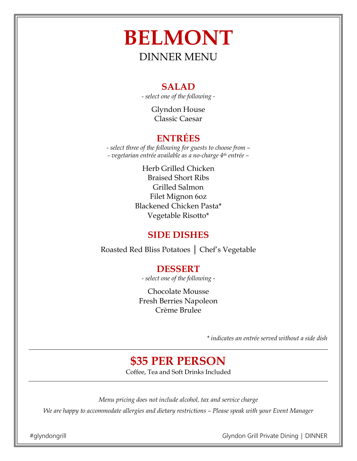# **BELMONT**  DINNER MENU

#### **SALAD**

*- select one of the following -* 

Glyndon House Classic Caesar

## **ENTRÉES**

*- select three of the following for guests to choose from – - vegetarian entrée available as a no-charge 4th entrée –* 

> Herb Grilled Chicken Braised Short Ribs Grilled Salmon Filet Mignon 6oz Blackened Chicken Pasta\* Vegetable Risotto\*

## **SIDE DISHES**

Roasted Red Bliss Potatoes │ Chef's Vegetable

## **DESSERT**

*- select one of the following -* 

Chocolate Mousse Fresh Berries Napoleon Crème Brulee

*\* indicates an entrée served without a side dish*

# **\$35 PER PERSON**

Coffee, Tea and Soft Drinks Included

*Menu pricing does not include alcohol, tax and service charge We are happy to accommodate allergies and dietary restrictions – Please speak with your Event Manager*

#glyndongrill Glyndon Grill Private Dining │ DINNER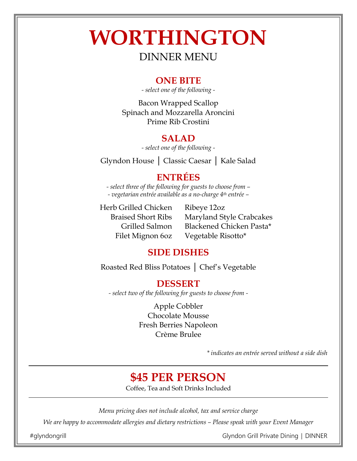# **WORTHINGTON**

## DINNER MENU

#### **ONE BITE**

*- select one of the following -* 

Bacon Wrapped Scallop Spinach and Mozzarella Aroncini Prime Rib Crostini

#### **SALAD**

*- select one of the following -* 

Glyndon House │ Classic Caesar │ Kale Salad

#### **ENTRÉES**

*- select three of the following for guests to choose from – - vegetarian entrée available as a no-charge 4th entrée –* 

Herb Grilled Chicken Braised Short Ribs Grilled Salmon Filet Mignon 6oz

Ribeye 12oz Maryland Style Crabcakes Blackened Chicken Pasta\* Vegetable Risotto\*

#### **SIDE DISHES**

Roasted Red Bliss Potatoes │ Chef's Vegetable

#### **DESSERT**

*- select two of the following for guests to choose from -* 

Apple Cobbler Chocolate Mousse Fresh Berries Napoleon Crème Brulee

*\* indicates an entrée served without a side dish*

# **\$45 PER PERSON**

Coffee, Tea and Soft Drinks Included

*Menu pricing does not include alcohol, tax and service charge*

*We are happy to accommodate allergies and dietary restrictions – Please speak with your Event Manager*

#glyndongrill Glyndon Grill Private Dining │ DINNER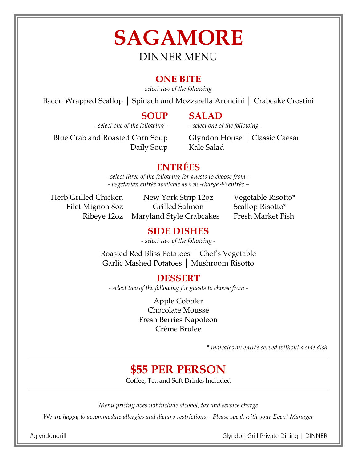# **SAGAMORE**  DINNER MENU

#### **ONE BITE**

*- select two of the following -* 

Bacon Wrapped Scallop | Spinach and Mozzarella Aroncini | Crabcake Crostini

#### **SOUP**

Daily Soup

**SALAD**

*- select one of the following -* 

*- select one of the following -* 

Blue Crab and Roasted Corn Soup

Glyndon House │ Classic Caesar Kale Salad

## **ENTRÉES**

*- select three of the following for guests to choose from – - vegetarian entrée available as a no-charge 4th entrée –* 

Herb Grilled Chicken Filet Mignon 8oz Ribeye 12oz

New York Strip 12oz Grilled Salmon Maryland Style Crabcakes

Vegetable Risotto\* Scallop Risotto\* Fresh Market Fish

## **SIDE DISHES**

*- select two of the following -* 

Roasted Red Bliss Potatoes │ Chef's Vegetable Garlic Mashed Potatoes │ Mushroom Risotto

**DESSERT**

*- select two of the following for guests to choose from -* 

Apple Cobbler Chocolate Mousse Fresh Berries Napoleon Crème Brulee

*\* indicates an entrée served without a side dish*

# **\$55 PER PERSON**

Coffee, Tea and Soft Drinks Included

*Menu pricing does not include alcohol, tax and service charge*

*We are happy to accommodate allergies and dietary restrictions – Please speak with your Event Manager*

#glyndongrill Glyndon Grill Private Dining │ DINNER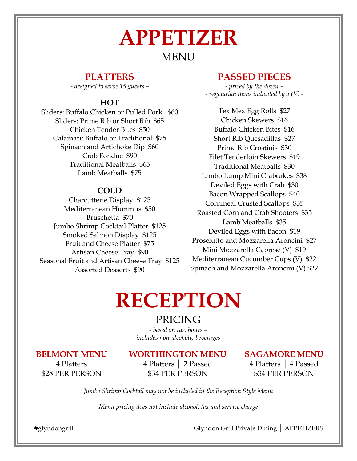# **APPETIZER** MENU

#### **PLATTERS**

*- designed to serve 15 guests –* 

#### **HOT**

Sliders: Buffalo Chicken or Pulled Pork \$60 Sliders: Prime Rib or Short Rib \$65 Chicken Tender Bites \$50 Calamari: Buffalo or Traditional \$75 Spinach and Artichoke Dip \$60 Crab Fondue \$90 Traditional Meatballs \$65 Lamb Meatballs \$75

#### **COLD**

Charcutterie Display \$125 Mediterranean Hummus \$50 Bruschetta \$70 Jumbo Shrimp Cocktail Platter \$125 Smoked Salmon Display \$125 Fruit and Cheese Platter \$75 Artisan Cheese Tray \$90 Seasonal Fruit and Artisan Cheese Tray \$125 Assorted Desserts \$90

#### **PASSED PIECES**

*- priced by the dozen – - vegetarian items indicated by a (V) -* 

Tex Mex Egg Rolls \$27 Chicken Skewers \$16 Buffalo Chicken Bites \$16 Short Rib Quesadillas \$27 Prime Rib Crostinis \$30 Filet Tenderloin Skewers \$19 Traditional Meatballs \$30 Jumbo Lump Mini Crabcakes \$38 Deviled Eggs with Crab \$30 Bacon Wrapped Scallops \$40 Cornmeal Crusted Scallops \$35 Roasted Corn and Crab Shooters \$35 Lamb Meatballs \$35 Deviled Eggs with Bacon \$19 Prosciutto and Mozzarella Aroncini \$27 Mini Mozzarella Caprese (V) \$19 Mediterranean Cucumber Cups (V) \$22 Spinach and Mozzarella Aroncini (V) \$22

# **RECEPTION**

### PRICING

*- based on two hours – - includes non-alcoholic beverages -* 

#### **BELMONT MENU**

#### **WORTHINGTON MENU**

4 Platters \$28 PER PERSON

#### 4 Platters │ 2 Passed \$34 PER PERSON

#### **SAGAMORE MENU**

4 Platters │ 4 Passed \$34 PER PERSON

*Jumbo Shrimp Cocktail may not be included in the Reception Style Menu*

*Menu pricing does not include alcohol, tax and service charge*

#glyndongrill Glyndon Grill Private Dining **│** APPETIZERS